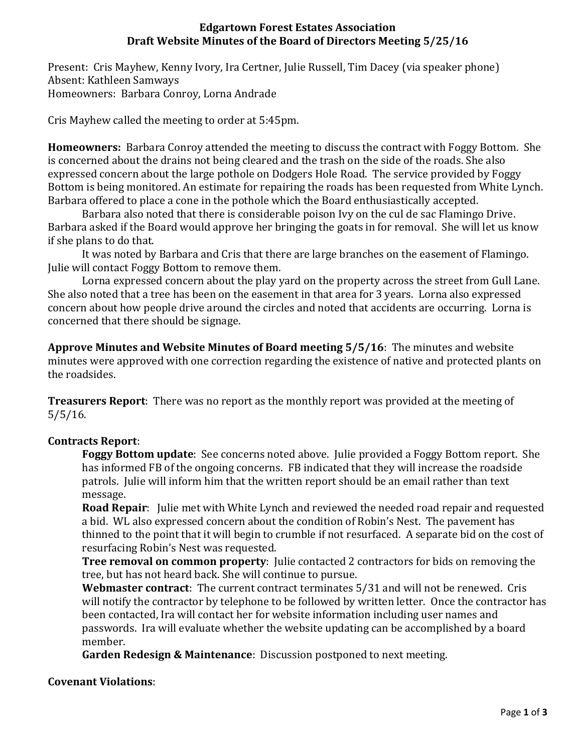## **Edgartown Forest Estates Association Draft Website Minutes of the Board of Directors Meeting 5/25/16**

Present: Cris Mayhew, Kenny Ivory, Ira Certner, Julie Russell, Tim Dacey (via speaker phone) Absent: Kathleen Samways Homeowners: Barbara Conroy, Lorna Andrade

Cris Mayhew called the meeting to order at 5:45pm.

**Homeowners:** Barbara Conroy attended the meeting to discuss the contract with Foggy Bottom. She is concerned about the drains not being cleared and the trash on the side of the roads. She also expressed concern about the large pothole on Dodgers Hole Road. The service provided by Foggy Bottom is being monitored. An estimate for repairing the roads has been requested from White Lynch. Barbara offered to place a cone in the pothole which the Board enthusiastically accepted.

Barbara also noted that there is considerable poison Ivy on the cul de sac Flamingo Drive. Barbara asked if the Board would approve her bringing the goats in for removal. She will let us know if she plans to do that.

It was noted by Barbara and Cris that there are large branches on the easement of Flamingo. Julie will contact Foggy Bottom to remove them.

Lorna expressed concern about the play yard on the property across the street from Gull Lane. She also noted that a tree has been on the easement in that area for 3 years. Lorna also expressed concern about how people drive around the circles and noted that accidents are occurring. Lorna is concerned that there should be signage.

**Approve Minutes and Website Minutes of Board meeting 5/5/16**: The minutes and website minutes were approved with one correction regarding the existence of native and protected plants on the roadsides.

**Treasurers Report**: There was no report as the monthly report was provided at the meeting of 5/5/16.

# **Contracts Report**:

**Foggy Bottom update**: See concerns noted above. Julie provided a Foggy Bottom report. She has informed FB of the ongoing concerns. FB indicated that they will increase the roadside patrols. Julie will inform him that the written report should be an email rather than text message.

**Road Repair**: Julie met with White Lynch and reviewed the needed road repair and requested a bid. WL also expressed concern about the condition of Robin's Nest. The pavement has thinned to the point that it will begin to crumble if not resurfaced. A separate bid on the cost of resurfacing Robin's Nest was requested.

**Tree removal on common property**: Julie contacted 2 contractors for bids on removing the tree, but has not heard back. She will continue to pursue.

**Webmaster contract**: The current contract terminates 5/31 and will not be renewed. Cris will notify the contractor by telephone to be followed by written letter. Once the contractor has been contacted, Ira will contact her for website information including user names and passwords. Ira will evaluate whether the website updating can be accomplished by a board member.

**Garden Redesign & Maintenance**: Discussion postponed to next meeting.

## **Covenant Violations**: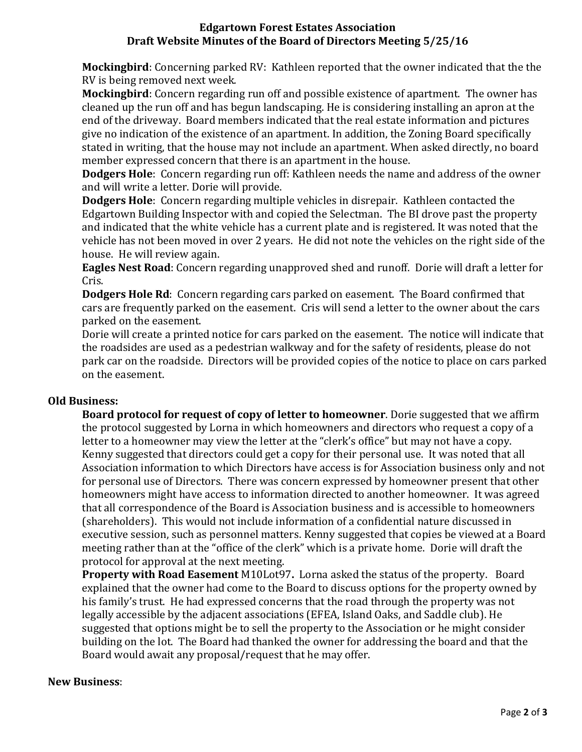## **Edgartown Forest Estates Association Draft Website Minutes of the Board of Directors Meeting 5/25/16**

**Mockingbird**: Concerning parked RV: Kathleen reported that the owner indicated that the the RV is being removed next week.

**Mockingbird**: Concern regarding run off and possible existence of apartment. The owner has cleaned up the run off and has begun landscaping. He is considering installing an apron at the end of the driveway. Board members indicated that the real estate information and pictures give no indication of the existence of an apartment. In addition, the Zoning Board specifically stated in writing, that the house may not include an apartment. When asked directly, no board member expressed concern that there is an apartment in the house.

**Dodgers Hole**: Concern regarding run off: Kathleen needs the name and address of the owner and will write a letter. Dorie will provide.

**Dodgers Hole**: Concern regarding multiple vehicles in disrepair. Kathleen contacted the Edgartown Building Inspector with and copied the Selectman. The BI drove past the property and indicated that the white vehicle has a current plate and is registered. It was noted that the vehicle has not been moved in over 2 years. He did not note the vehicles on the right side of the house. He will review again.

**Eagles Nest Road**: Concern regarding unapproved shed and runoff. Dorie will draft a letter for Cris.

**Dodgers Hole Rd**: Concern regarding cars parked on easement. The Board confirmed that cars are frequently parked on the easement. Cris will send a letter to the owner about the cars parked on the easement.

Dorie will create a printed notice for cars parked on the easement. The notice will indicate that the roadsides are used as a pedestrian walkway and for the safety of residents, please do not park car on the roadside. Directors will be provided copies of the notice to place on cars parked on the easement.

## **Old Business:**

**Board protocol for request of copy of letter to homeowner**. Dorie suggested that we affirm the protocol suggested by Lorna in which homeowners and directors who request a copy of a letter to a homeowner may view the letter at the "clerk's office" but may not have a copy. Kenny suggested that directors could get a copy for their personal use. It was noted that all Association information to which Directors have access is for Association business only and not for personal use of Directors. There was concern expressed by homeowner present that other homeowners might have access to information directed to another homeowner. It was agreed that all correspondence of the Board is Association business and is accessible to homeowners (shareholders). This would not include information of a confidential nature discussed in executive session, such as personnel matters. Kenny suggested that copies be viewed at a Board meeting rather than at the "office of the clerk" which is a private home. Dorie will draft the protocol for approval at the next meeting.

**Property with Road Easement** M10Lot97**.** Lorna asked the status of the property. Board explained that the owner had come to the Board to discuss options for the property owned by his family's trust. He had expressed concerns that the road through the property was not legally accessible by the adjacent associations (EFEA, Island Oaks, and Saddle club). He suggested that options might be to sell the property to the Association or he might consider building on the lot. The Board had thanked the owner for addressing the board and that the Board would await any proposal/request that he may offer.

## **New Business**: